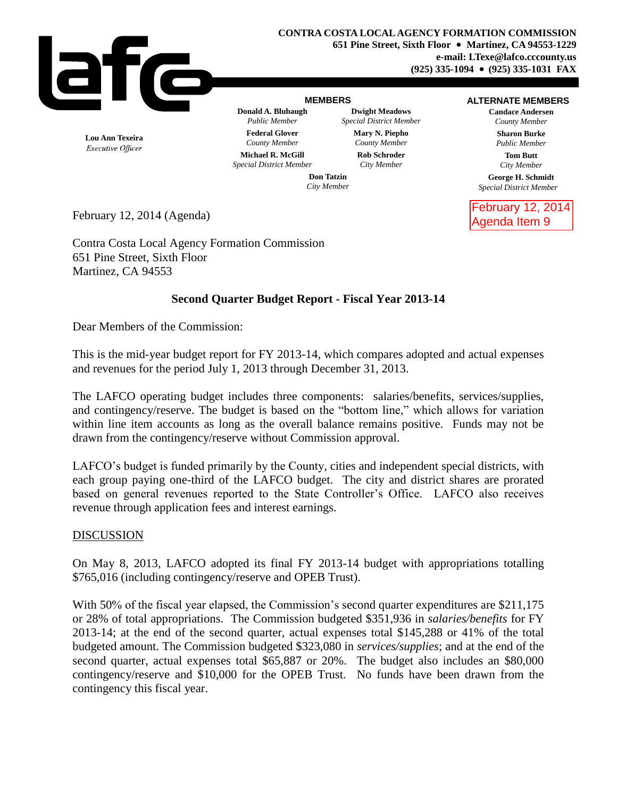

### **MEMBERS**

**Donald A. Blubaugh Dwight Meadows** *Public Member Special District Member* **Federal Glover Mary N. Piepho** *County Member County Member* **Michael R. McGill Rob Schroder**

#### **ALTERNATE MEMBERS**

**Candace Andersen** *County Member* **Sharon Burke** *Public Member*

> **Tom Butt** *City Member*

**George H. Schmidt** *Special District Member*

February 12, 2014 Agenda Item 9

**Lou Ann Texeira** Executive Officer *Special District Member City Member*

**Don Tatzin** *City Member*

February 12, 2014 (Agenda)

Contra Costa Local Agency Formation Commission 651 Pine Street, Sixth Floor Martinez, CA 94553

# **Second Quarter Budget Report - Fiscal Year 2013-14**

Dear Members of the Commission:

This is the mid-year budget report for FY 2013-14, which compares adopted and actual expenses and revenues for the period July 1, 2013 through December 31, 2013.

The LAFCO operating budget includes three components: salaries/benefits, services/supplies, and contingency/reserve. The budget is based on the "bottom line," which allows for variation within line item accounts as long as the overall balance remains positive. Funds may not be drawn from the contingency/reserve without Commission approval.

LAFCO's budget is funded primarily by the County, cities and independent special districts, with each group paying one-third of the LAFCO budget. The city and district shares are prorated based on general revenues reported to the State Controller's Office. LAFCO also receives revenue through application fees and interest earnings.

## DISCUSSION

On May 8, 2013, LAFCO adopted its final FY 2013-14 budget with appropriations totalling \$765,016 (including contingency/reserve and OPEB Trust).

With 50% of the fiscal year elapsed, the Commission's second quarter expenditures are \$211,175 or 28% of total appropriations. The Commission budgeted \$351,936 in *salaries/benefits* for FY 2013-14; at the end of the second quarter, actual expenses total \$145,288 or 41% of the total budgeted amount. The Commission budgeted \$323,080 in *services/supplies*; and at the end of the second quarter, actual expenses total \$65,887 or 20%. The budget also includes an \$80,000 contingency/reserve and \$10,000 for the OPEB Trust. No funds have been drawn from the contingency this fiscal year.